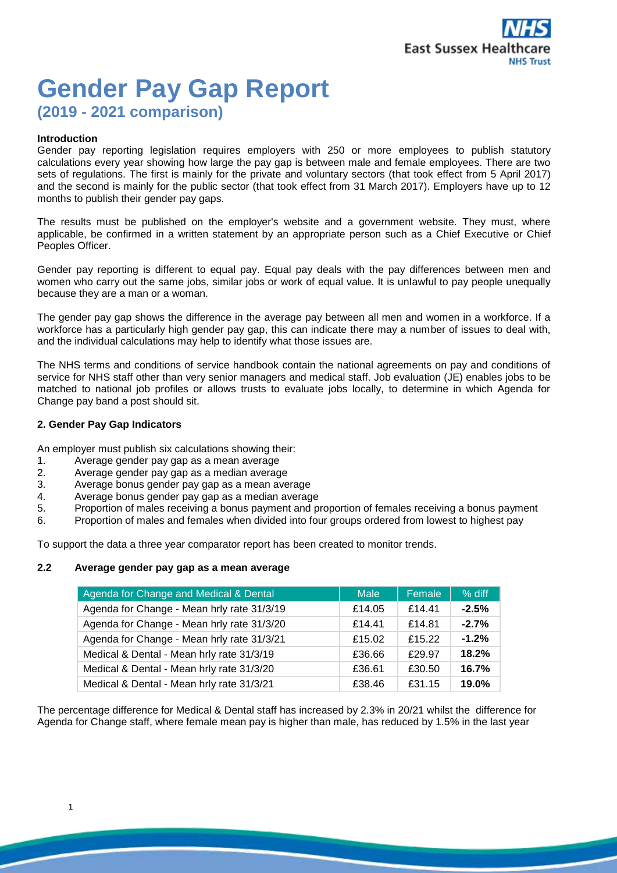# **Gender Pay Gap Report (2019 - 2021 comparison)**

#### **Introduction**

Gender pay reporting legislation requires employers with 250 or more employees to publish statutory calculations every year showing how large the pay gap is between male and female employees. There are two sets of regulations. The first is mainly for the private and voluntary sectors (that took effect from 5 April 2017) and the second is mainly for the public sector (that took effect from 31 March 2017). Employers have up to 12 months to publish their gender pay gaps.

The results must be published on the employer's website and a government website. They must, where applicable, be confirmed in a written statement by an appropriate person such as a Chief Executive or Chief Peoples Officer.

Gender pay reporting is different to equal pay. Equal pay deals with the pay differences between men and women who carry out the same jobs, similar jobs or work of equal value. It is unlawful to pay people unequally because they are a man or a woman.

The gender pay gap shows the difference in the average pay between all men and women in a workforce. If a workforce has a particularly high gender pay gap, this can indicate there may a number of issues to deal with, and the individual calculations may help to identify what those issues are.

The NHS terms and conditions of service handbook contain the national agreements on pay and conditions of service for NHS staff other than very senior managers and medical staff. Job evaluation (JE) enables jobs to be matched to national job profiles or allows trusts to evaluate jobs locally, to determine in which Agenda for Change pay band a post should sit.

## **2. Gender Pay Gap Indicators**

An employer must publish six calculations showing their:

- 1. Average gender pay gap as a mean average
- 2. Average gender pay gap as a median average
- 3. Average bonus gender pay gap as a mean average
- 4. Average bonus gender pay gap as a median average
- 5. Proportion of males receiving a bonus payment and proportion of females receiving a bonus payment
- 6. Proportion of males and females when divided into four groups ordered from lowest to highest pay

To support the data a three year comparator report has been created to monitor trends.

#### **2.2 Average gender pay gap as a mean average**

| Agenda for Change and Medical & Dental     | Male   | Female | % diff  |
|--------------------------------------------|--------|--------|---------|
| Agenda for Change - Mean hrly rate 31/3/19 | £14.05 | £14.41 | $-2.5%$ |
| Agenda for Change - Mean hrly rate 31/3/20 | £14.41 | £14.81 | $-2.7%$ |
| Agenda for Change - Mean hrly rate 31/3/21 | £15.02 | £15.22 | $-1.2%$ |
| Medical & Dental - Mean hrly rate 31/3/19  | £36.66 | £29.97 | 18.2%   |
| Medical & Dental - Mean hrly rate 31/3/20  | £36.61 | £30.50 | 16.7%   |
| Medical & Dental - Mean hrly rate 31/3/21  | £38.46 | £31.15 | 19.0%   |

The percentage difference for Medical & Dental staff has increased by 2.3% in 20/21 whilst the difference for Agenda for Change staff, where female mean pay is higher than male, has reduced by 1.5% in the last year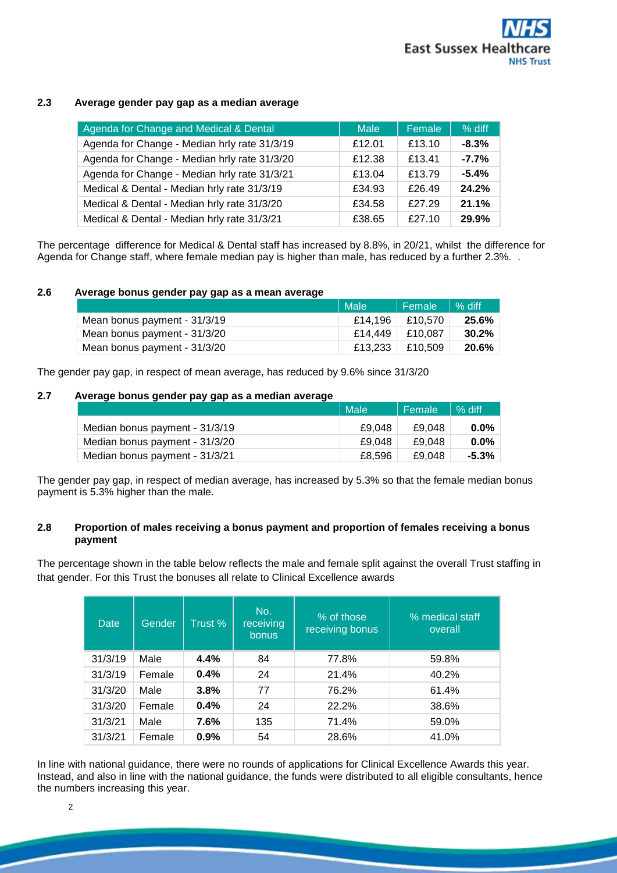# **2.3 Average gender pay gap as a median average**

| Agenda for Change and Medical & Dental       | Male   | Female | % diff  |
|----------------------------------------------|--------|--------|---------|
| Agenda for Change - Median hrly rate 31/3/19 | £12.01 | £13.10 | $-8.3%$ |
| Agenda for Change - Median hrly rate 31/3/20 | £12.38 | £13.41 | $-7.7%$ |
| Agenda for Change - Median hrly rate 31/3/21 | £13.04 | £13.79 | $-5.4%$ |
| Medical & Dental - Median hrly rate 31/3/19  | £34.93 | £26.49 | 24.2%   |
| Medical & Dental - Median hrly rate 31/3/20  | £34.58 | £27.29 | 21.1%   |
| Medical & Dental - Median hrly rate 31/3/21  | £38.65 | £27.10 | 29.9%   |

The percentage difference for Medical & Dental staff has increased by 8.8%, in 20/21, whilst the difference for Agenda for Change staff, where female median pay is higher than male, has reduced by a further 2.3%. .

# **2.6 Average bonus gender pay gap as a mean average**

|                              | Male    | Female  | $%$ diff |
|------------------------------|---------|---------|----------|
| Mean bonus payment - 31/3/19 | £14.196 | £10.570 | 25.6%    |
| Mean bonus payment - 31/3/20 | £14.449 | £10.087 | $30.2\%$ |
| Mean bonus payment - 31/3/20 | £13.233 | £10.509 | 20.6%    |

The gender pay gap, in respect of mean average, has reduced by 9.6% since 31/3/20

## **2.7 Average bonus gender pay gap as a median average**

|                                | Male <sup>1</sup> | Female | $%$ diff |
|--------------------------------|-------------------|--------|----------|
| Median bonus payment - 31/3/19 | £9.048            | £9.048 | $0.0\%$  |
| Median bonus payment - 31/3/20 | £9.048            | £9.048 | $0.0\%$  |
| Median bonus payment - 31/3/21 | £8.596            | £9.048 | $-5.3\%$ |

The gender pay gap, in respect of median average, has increased by 5.3% so that the female median bonus payment is 5.3% higher than the male.

# **2.8 Proportion of males receiving a bonus payment and proportion of females receiving a bonus payment**

The percentage shown in the table below reflects the male and female split against the overall Trust staffing in that gender. For this Trust the bonuses all relate to Clinical Excellence awards

| Date    | Gender | Trust % | No.<br>receiving<br>bonus | % of those<br>receiving bonus | % medical staff<br>overall |
|---------|--------|---------|---------------------------|-------------------------------|----------------------------|
| 31/3/19 | Male   | 4.4%    | 84                        | 77.8%                         | 59.8%                      |
| 31/3/19 | Female | 0.4%    | 24                        | 21.4%                         | 40.2%                      |
| 31/3/20 | Male   | 3.8%    | 77                        | 76.2%                         | 61.4%                      |
| 31/3/20 | Female | 0.4%    | 24                        | 22.2%                         | 38.6%                      |
| 31/3/21 | Male   | 7.6%    | 135                       | 71.4%                         | 59.0%                      |
| 31/3/21 | Female | 0.9%    | 54                        | 28.6%                         | 41.0%                      |

In line with national guidance, there were no rounds of applications for Clinical Excellence Awards this year. Instead, and also in line with the national guidance, the funds were distributed to all eligible consultants, hence the numbers increasing this year.